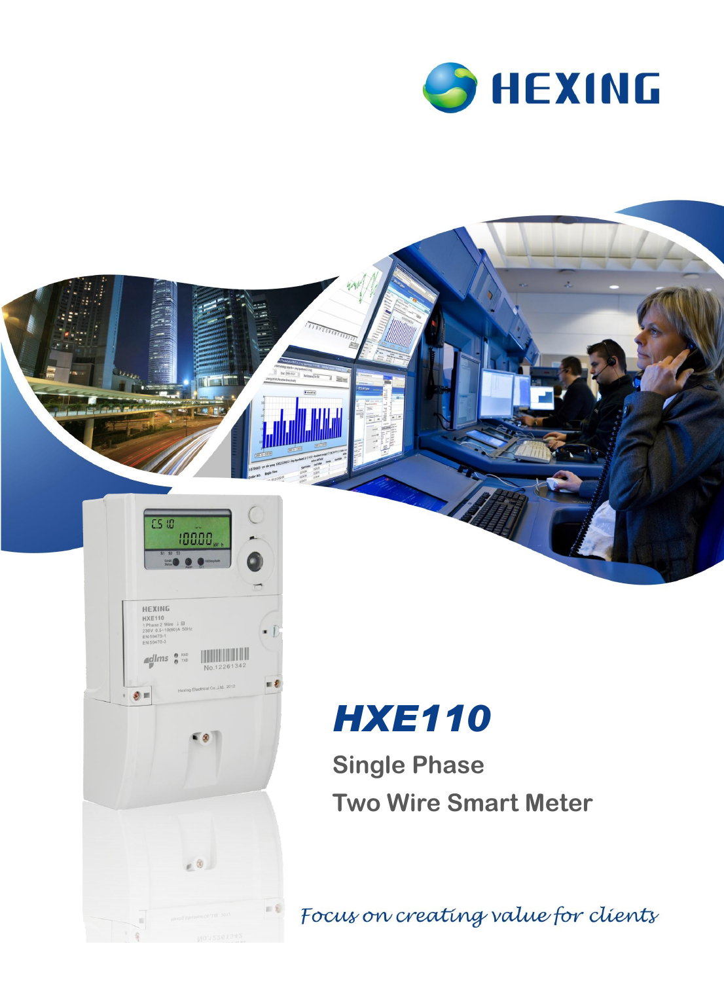





 $\sqrt{a}$ 

 $-8$ 

12261342

 $= 8$ 

 $\mathbb{Z}$ lms  $\frac{0}{0}$  RXD

 $\bullet$ 

**Single Phase Two Wire Smart Meter**

Focus on creating value for clients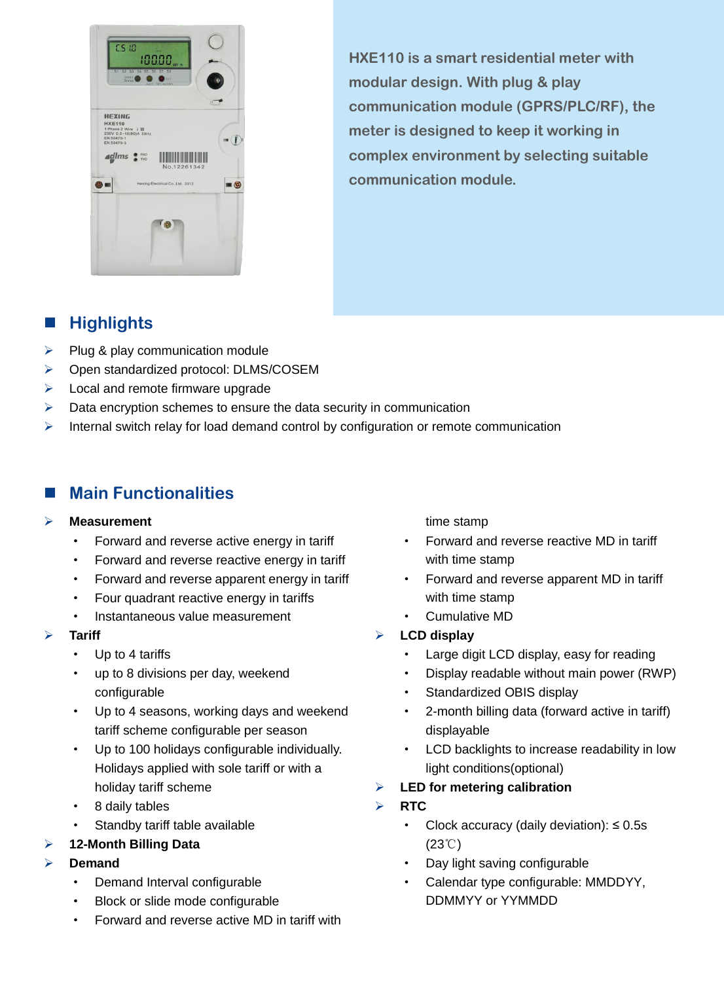

**HXE110 is a smart residential meter with modular design. With plug & play communication module (GPRS/PLC/RF), the meter is designed to keep it working in complex environment by selecting suitable communication module.**

### **Highlights**

- $\triangleright$  Plug & play communication module
- Open standardized protocol: DLMS/COSEM
- $\triangleright$  Local and remote firmware upgrade
- $\triangleright$  Data encryption schemes to ensure the data security in communication
- $\triangleright$  Internal switch relay for load demand control by configuration or remote communication

### **Main Functionalities**

#### **Measurement**

- Forward and reverse active energy in tariff
- Forward and reverse reactive energy in tariff
- Forward and reverse apparent energy in tariff
- · Four quadrant reactive energy in tariffs
- · Instantaneous value measurement

#### **Tariff**

- Up to 4 tariffs
- · up to 8 divisions per day, weekend configurable
- · Up to 4 seasons, working days and weekend tariff scheme configurable per season
- · Up to 100 holidays configurable individually. Holidays applied with sole tariff or with a holiday tariff scheme
- 8 daily tables
- Standby tariff table available
- **12-Month Billing Data**
- **Demand**
	- Demand Interval configurable
	- Block or slide mode configurable
	- · Forward and reverse active MD in tariff with

time stamp

- Forward and reverse reactive MD in tariff with time stamp
- Forward and reverse apparent MD in tariff with time stamp
- · Cumulative MD
- **LCD display**
	- Large digit LCD display, easy for reading
	- · Display readable without main power (RWP)
	- Standardized OBIS display
	- 2-month billing data (forward active in tariff) displayable
	- LCD backlights to increase readability in low light conditions(optional)
- **LED for metering calibration**
- **RTC** 
	- Clock accuracy (daily deviation):  $\leq 0.5s$ (23℃)
	- Day light saving configurable
	- Calendar type configurable: MMDDYY, DDMMYY or YYMMDD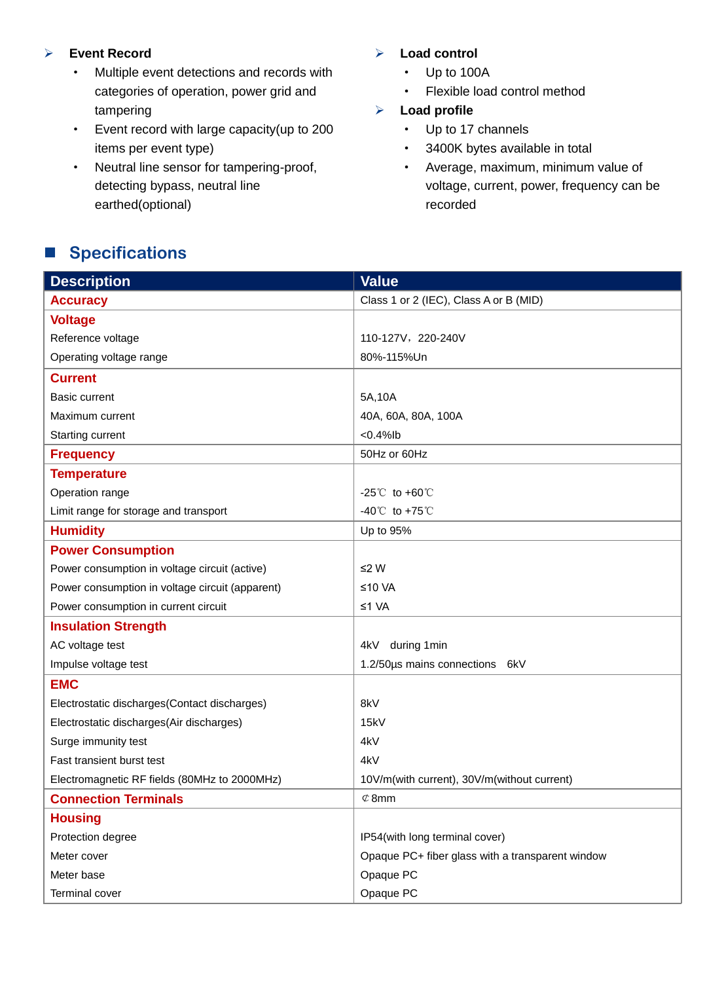#### **Event Record**

- · Multiple event detections and records with categories of operation, power grid and tampering
- · Event record with large capacity(up to 200 items per event type)
- · Neutral line sensor for tampering-proof, detecting bypass, neutral line earthed(optional)

#### **Load control**

- · Up to 100A
- · Flexible load control method

#### **Load profile**

- · Up to 17 channels
- · 3400K bytes available in total
- · Average, maximum, minimum value of voltage, current, power, frequency can be recorded

## ■ Specifications

| <b>Description</b>                              | <b>Value</b>                                     |
|-------------------------------------------------|--------------------------------------------------|
| <b>Accuracy</b>                                 | Class 1 or 2 (IEC), Class A or B (MID)           |
| <b>Voltage</b>                                  |                                                  |
| Reference voltage                               | 110-127V, 220-240V                               |
| Operating voltage range                         | 80%-115%Un                                       |
| <b>Current</b>                                  |                                                  |
| <b>Basic current</b>                            | 5A,10A                                           |
| Maximum current                                 | 40A, 60A, 80A, 100A                              |
| <b>Starting current</b>                         | $< 0.4%$ lb                                      |
| <b>Frequency</b>                                | 50Hz or 60Hz                                     |
| <b>Temperature</b>                              |                                                  |
| Operation range                                 | $-25^{\circ}$ to $+60^{\circ}$                   |
| Limit range for storage and transport           | $-40^{\circ}$ to $+75^{\circ}$ C                 |
| <b>Humidity</b>                                 | Up to 95%                                        |
| <b>Power Consumption</b>                        |                                                  |
| Power consumption in voltage circuit (active)   | ≤2 W                                             |
| Power consumption in voltage circuit (apparent) | ≤10 VA                                           |
| Power consumption in current circuit            | ≤1 VA                                            |
| <b>Insulation Strength</b>                      |                                                  |
| AC voltage test                                 | during 1min<br>4kV                               |
| Impulse voltage test                            | 1.2/50µs mains connections 6kV                   |
| <b>EMC</b>                                      |                                                  |
| Electrostatic discharges(Contact discharges)    | 8kV                                              |
| Electrostatic discharges(Air discharges)        | 15kV                                             |
| Surge immunity test                             | 4kV                                              |
| Fast transient burst test                       | 4kV                                              |
| Electromagnetic RF fields (80MHz to 2000MHz)    | 10V/m(with current), 30V/m(without current)      |
| <b>Connection Terminals</b>                     | $\varphi$ 8mm                                    |
| <b>Housing</b>                                  |                                                  |
| Protection degree                               | IP54(with long terminal cover)                   |
| Meter cover                                     | Opaque PC+ fiber glass with a transparent window |
| Meter base                                      | Opaque PC                                        |
| Terminal cover                                  | Opaque PC                                        |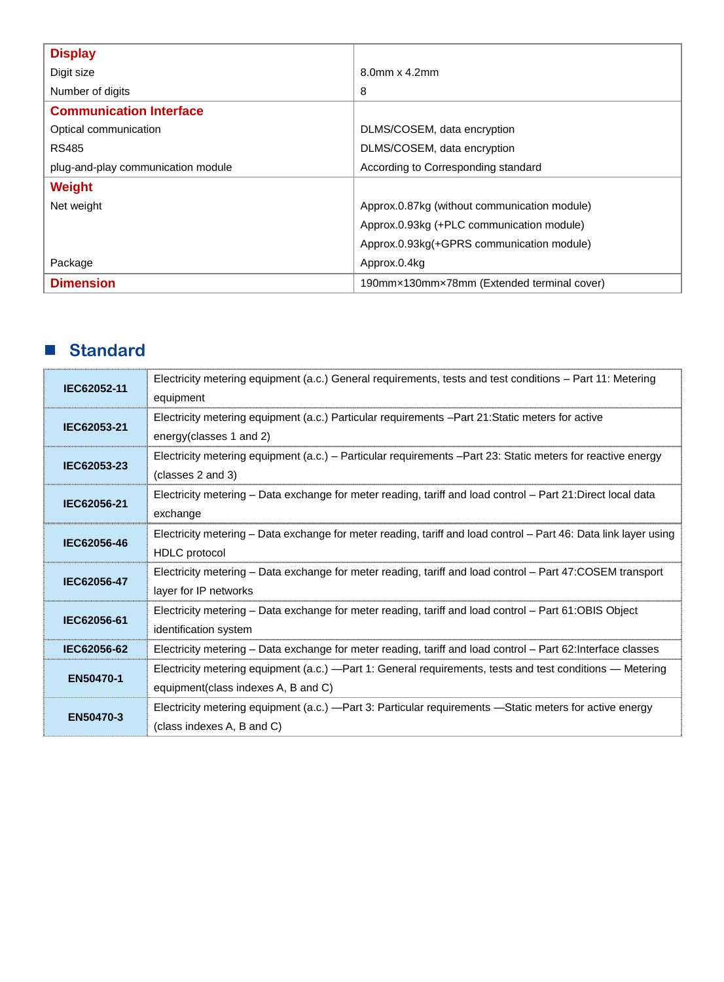| <b>Display</b>                     |                                              |
|------------------------------------|----------------------------------------------|
| Digit size                         | $8.0$ mm x $4.2$ mm                          |
| Number of digits                   | 8                                            |
| <b>Communication Interface</b>     |                                              |
| Optical communication              | DLMS/COSEM, data encryption                  |
| <b>RS485</b>                       | DLMS/COSEM, data encryption                  |
| plug-and-play communication module | According to Corresponding standard          |
| Weight                             |                                              |
| Net weight                         | Approx.0.87kg (without communication module) |
|                                    | Approx.0.93kg (+PLC communication module)    |
|                                    | Approx.0.93kg(+GPRS communication module)    |
| Package                            | Approx.0.4kg                                 |
| <b>Dimension</b>                   | 190mm×130mm×78mm (Extended terminal cover)   |

## **Standard**

| IEC62052-11 | Electricity metering equipment (a.c.) General requirements, tests and test conditions – Part 11: Metering<br>equipment                   |
|-------------|------------------------------------------------------------------------------------------------------------------------------------------|
| IEC62053-21 | Electricity metering equipment (a.c.) Particular requirements - Part 21: Static meters for active<br>energy(classes 1 and 2)             |
| IEC62053-23 | Electricity metering equipment (a.c.) – Particular requirements –Part 23: Static meters for reactive energy<br>(classes 2 and 3)         |
| IEC62056-21 | Electricity metering – Data exchange for meter reading, tariff and load control – Part 21:Direct local data<br>exchange                  |
| IEC62056-46 | Electricity metering - Data exchange for meter reading, tariff and load control - Part 46: Data link layer using<br><b>HDLC</b> protocol |
| IEC62056-47 | Electricity metering - Data exchange for meter reading, tariff and load control - Part 47:COSEM transport<br>layer for IP networks       |
| IEC62056-61 | Electricity metering – Data exchange for meter reading, tariff and load control – Part 61:OBIS Object<br>identification system           |
| IEC62056-62 | Electricity metering – Data exchange for meter reading, tariff and load control – Part 62: Interface classes                             |
| EN50470-1   | Electricity metering equipment (a.c.) - Part 1: General requirements, tests and test conditions - Metering                               |
|             | equipment (class indexes A, B and C)                                                                                                     |
| EN50470-3   | Electricity metering equipment (a.c.) - Part 3: Particular requirements - Static meters for active energy                                |
|             | (class indexes A, B and C)                                                                                                               |